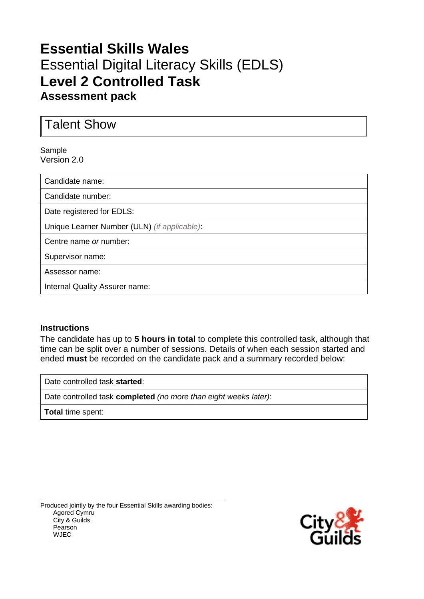## **Essential Skills Wales** Essential Digital Literacy Skills (EDLS) **Level 2 Controlled Task Assessment pack**

Talent Show

#### Sample Version 2.0

Candidate name:

Candidate number:

Date registered for EDLS:

Unique Learner Number (ULN) *(if applicable)*:

Centre name *or* number:

Supervisor name:

Assessor name:

Internal Quality Assurer name:

#### **Instructions**

The candidate has up to **5 hours in total** to complete this controlled task, although that time can be split over a number of sessions. Details of when each session started and ended **must** be recorded on the candidate pack and a summary recorded below:

Date controlled task **started**:

Date controlled task **completed** *(no more than eight weeks later)*:

**Total** time spent:

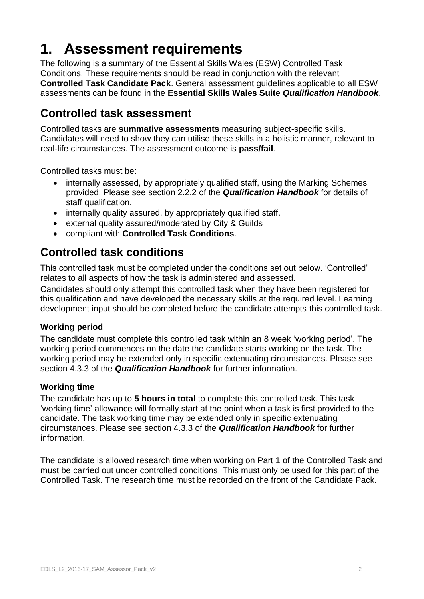# **1. Assessment requirements**

The following is a summary of the Essential Skills Wales (ESW) Controlled Task Conditions. These requirements should be read in conjunction with the relevant **Controlled Task Candidate Pack**. General assessment guidelines applicable to all ESW assessments can be found in the **Essential Skills Wales Suite** *Qualification Handbook*.

### **Controlled task assessment**

Controlled tasks are **summative assessments** measuring subject-specific skills. Candidates will need to show they can utilise these skills in a holistic manner, relevant to real-life circumstances. The assessment outcome is **pass/fail**.

Controlled tasks must be:

- internally assessed, by appropriately qualified staff, using the Marking Schemes provided. Please see section 2.2.2 of the *Qualification Handbook* for details of staff qualification.
- internally quality assured, by appropriately qualified staff.
- external quality assured/moderated by City & Guilds
- compliant with **Controlled Task Conditions**.

### **Controlled task conditions**

This controlled task must be completed under the conditions set out below. 'Controlled' relates to all aspects of how the task is administered and assessed.

Candidates should only attempt this controlled task when they have been registered for this qualification and have developed the necessary skills at the required level. Learning development input should be completed before the candidate attempts this controlled task.

#### **Working period**

The candidate must complete this controlled task within an 8 week 'working period'. The working period commences on the date the candidate starts working on the task. The working period may be extended only in specific extenuating circumstances. Please see section 4.3.3 of the *Qualification Handbook* for further information.

#### **Working time**

The candidate has up to **5 hours in total** to complete this controlled task. This task 'working time' allowance will formally start at the point when a task is first provided to the candidate. The task working time may be extended only in specific extenuating circumstances. Please see section 4.3.3 of the *Qualification Handbook* for further information.

The candidate is allowed research time when working on Part 1 of the Controlled Task and must be carried out under controlled conditions. This must only be used for this part of the Controlled Task. The research time must be recorded on the front of the Candidate Pack.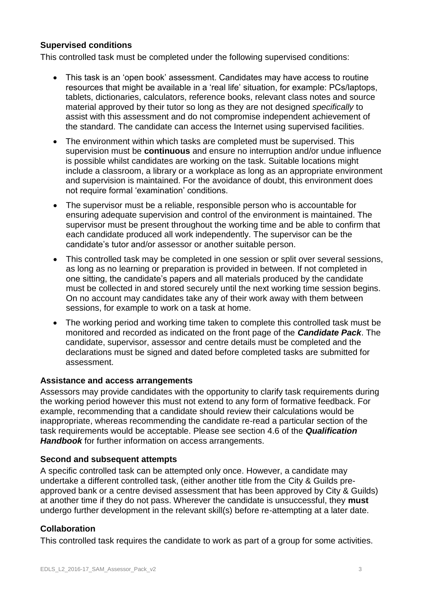#### **Supervised conditions**

This controlled task must be completed under the following supervised conditions:

- This task is an 'open book' assessment. Candidates may have access to routine resources that might be available in a 'real life' situation, for example: PCs/laptops, tablets, dictionaries, calculators, reference books, relevant class notes and source material approved by their tutor so long as they are not designed *specifically* to assist with this assessment and do not compromise independent achievement of the standard. The candidate can access the Internet using supervised facilities.
- The environment within which tasks are completed must be supervised. This supervision must be **continuous** and ensure no interruption and/or undue influence is possible whilst candidates are working on the task. Suitable locations might include a classroom, a library or a workplace as long as an appropriate environment and supervision is maintained. For the avoidance of doubt, this environment does not require formal 'examination' conditions.
- The supervisor must be a reliable, responsible person who is accountable for ensuring adequate supervision and control of the environment is maintained. The supervisor must be present throughout the working time and be able to confirm that each candidate produced all work independently. The supervisor can be the candidate's tutor and/or assessor or another suitable person.
- This controlled task may be completed in one session or split over several sessions, as long as no learning or preparation is provided in between. If not completed in one sitting, the candidate's papers and all materials produced by the candidate must be collected in and stored securely until the next working time session begins. On no account may candidates take any of their work away with them between sessions, for example to work on a task at home.
- The working period and working time taken to complete this controlled task must be monitored and recorded as indicated on the front page of the *Candidate Pack*. The candidate, supervisor, assessor and centre details must be completed and the declarations must be signed and dated before completed tasks are submitted for assessment.

#### **Assistance and access arrangements**

Assessors may provide candidates with the opportunity to clarify task requirements during the working period however this must not extend to any form of formative feedback. For example, recommending that a candidate should review their calculations would be inappropriate, whereas recommending the candidate re-read a particular section of the task requirements would be acceptable. Please see section 4.6 of the *Qualification Handbook* for further information on access arrangements.

#### **Second and subsequent attempts**

A specific controlled task can be attempted only once. However, a candidate may undertake a different controlled task, (either another title from the City & Guilds preapproved bank or a centre devised assessment that has been approved by City & Guilds) at another time if they do not pass. Wherever the candidate is unsuccessful, they **must** undergo further development in the relevant skill(s) before re-attempting at a later date.

#### **Collaboration**

This controlled task requires the candidate to work as part of a group for some activities.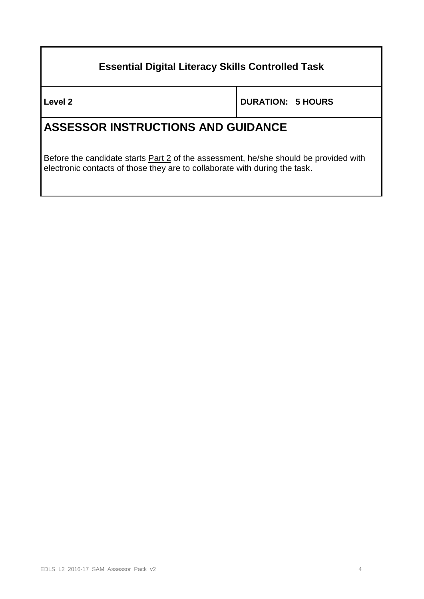### **Essential Digital Literacy Skills Controlled Task**

**Level 2 DURATION: 5 HOURS**

### **ASSESSOR INSTRUCTIONS AND GUIDANCE**

Before the candidate starts **Part 2** of the assessment, he/she should be provided with electronic contacts of those they are to collaborate with during the task.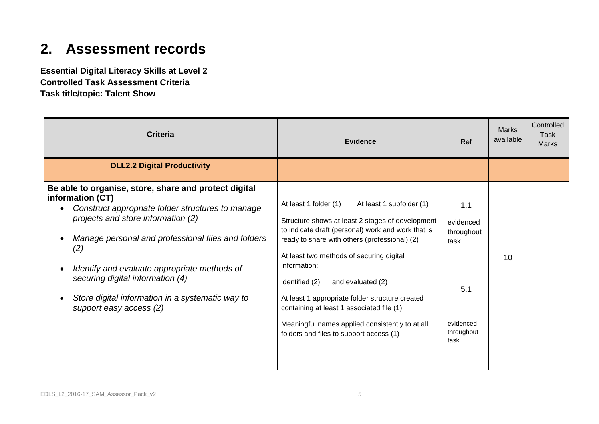# **2. Assessment records**

**Essential Digital Literacy Skills at Level 2 Controlled Task Assessment Criteria Task title/topic: Talent Show**

| <b>Criteria</b>                                                                                                                                                                                                                                                                                                                                                                                                   | <b>Evidence</b>                                                                                                                                                                                                                                                                                                                                                                                                                                                                                               | Ref                                                                              | <b>Marks</b><br>available | Controlled<br><b>Task</b><br><b>Marks</b> |
|-------------------------------------------------------------------------------------------------------------------------------------------------------------------------------------------------------------------------------------------------------------------------------------------------------------------------------------------------------------------------------------------------------------------|---------------------------------------------------------------------------------------------------------------------------------------------------------------------------------------------------------------------------------------------------------------------------------------------------------------------------------------------------------------------------------------------------------------------------------------------------------------------------------------------------------------|----------------------------------------------------------------------------------|---------------------------|-------------------------------------------|
| <b>DLL2.2 Digital Productivity</b>                                                                                                                                                                                                                                                                                                                                                                                |                                                                                                                                                                                                                                                                                                                                                                                                                                                                                                               |                                                                                  |                           |                                           |
| Be able to organise, store, share and protect digital<br>information (CT)<br>Construct appropriate folder structures to manage<br>projects and store information (2)<br>Manage personal and professional files and folders<br>(2)<br>Identify and evaluate appropriate methods of<br>$\bullet$<br>securing digital information (4)<br>Store digital information in a systematic way to<br>support easy access (2) | At least 1 folder (1)<br>At least 1 subfolder (1)<br>Structure shows at least 2 stages of development<br>to indicate draft (personal) work and work that is<br>ready to share with others (professional) (2)<br>At least two methods of securing digital<br>information:<br>identified (2)<br>and evaluated (2)<br>At least 1 appropriate folder structure created<br>containing at least 1 associated file (1)<br>Meaningful names applied consistently to at all<br>folders and files to support access (1) | 1.1<br>evidenced<br>throughout<br>task<br>5.1<br>evidenced<br>throughout<br>task | 10                        |                                           |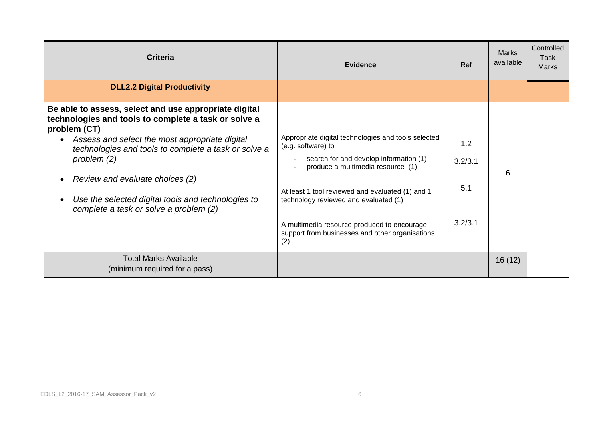| <b>Criteria</b>                                                                                                                                                                                                                                                                                                                                                                                                       | Evidence                                                                                                                                                                                                                                                                                                                                                        | Ref                              | <b>Marks</b><br>available | Controlled<br><b>Task</b><br><b>Marks</b> |
|-----------------------------------------------------------------------------------------------------------------------------------------------------------------------------------------------------------------------------------------------------------------------------------------------------------------------------------------------------------------------------------------------------------------------|-----------------------------------------------------------------------------------------------------------------------------------------------------------------------------------------------------------------------------------------------------------------------------------------------------------------------------------------------------------------|----------------------------------|---------------------------|-------------------------------------------|
| <b>DLL2.2 Digital Productivity</b>                                                                                                                                                                                                                                                                                                                                                                                    |                                                                                                                                                                                                                                                                                                                                                                 |                                  |                           |                                           |
| Be able to assess, select and use appropriate digital<br>technologies and tools to complete a task or solve a<br>problem (CT)<br>Assess and select the most appropriate digital<br>$\bullet$<br>technologies and tools to complete a task or solve a<br>problem $(2)$<br>Review and evaluate choices (2)<br>Use the selected digital tools and technologies to<br>$\bullet$<br>complete a task or solve a problem (2) | Appropriate digital technologies and tools selected<br>(e.g. software) to<br>search for and develop information (1)<br>produce a multimedia resource (1)<br>At least 1 tool reviewed and evaluated (1) and 1<br>technology reviewed and evaluated (1)<br>A multimedia resource produced to encourage<br>support from businesses and other organisations.<br>(2) | 1.2<br>3.2/3.1<br>5.1<br>3.2/3.1 | 6                         |                                           |
| <b>Total Marks Available</b><br>(minimum required for a pass)                                                                                                                                                                                                                                                                                                                                                         |                                                                                                                                                                                                                                                                                                                                                                 |                                  | 16(12)                    |                                           |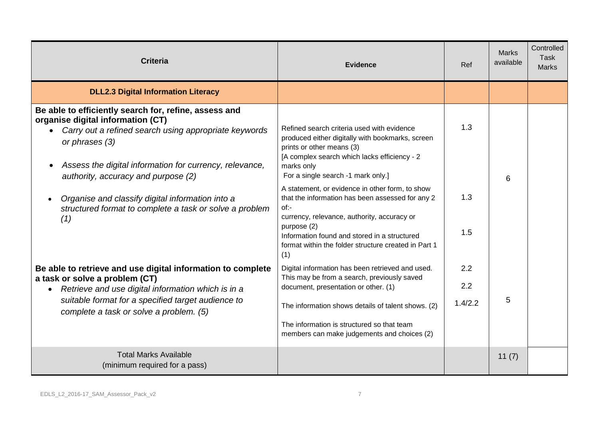| <b>Criteria</b>                                                                                                                                                                                                                                                                                                                                                                                            | <b>Evidence</b>                                                                                                                                                                                                                                                                                                                                                                                                                                                                                                               | Ref                   | <b>Marks</b><br>available | Controlled<br><b>Task</b><br><b>Marks</b> |
|------------------------------------------------------------------------------------------------------------------------------------------------------------------------------------------------------------------------------------------------------------------------------------------------------------------------------------------------------------------------------------------------------------|-------------------------------------------------------------------------------------------------------------------------------------------------------------------------------------------------------------------------------------------------------------------------------------------------------------------------------------------------------------------------------------------------------------------------------------------------------------------------------------------------------------------------------|-----------------------|---------------------------|-------------------------------------------|
| <b>DLL2.3 Digital Information Literacy</b>                                                                                                                                                                                                                                                                                                                                                                 |                                                                                                                                                                                                                                                                                                                                                                                                                                                                                                                               |                       |                           |                                           |
| Be able to efficiently search for, refine, assess and<br>organise digital information (CT)<br>Carry out a refined search using appropriate keywords<br>or phrases (3)<br>Assess the digital information for currency, relevance,<br>authority, accuracy and purpose (2)<br>Organise and classify digital information into a<br>$\bullet$<br>structured format to complete a task or solve a problem<br>(1) | Refined search criteria used with evidence<br>produced either digitally with bookmarks, screen<br>prints or other means (3)<br>[A complex search which lacks efficiency - 2<br>marks only<br>For a single search -1 mark only.]<br>A statement, or evidence in other form, to show<br>that the information has been assessed for any 2<br>$of:-$<br>currency, relevance, authority, accuracy or<br>purpose (2)<br>Information found and stored in a structured<br>format within the folder structure created in Part 1<br>(1) | 1.3<br>1.3<br>1.5     | 6                         |                                           |
| Be able to retrieve and use digital information to complete<br>a task or solve a problem (CT)<br>Retrieve and use digital information which is in a<br>$\bullet$<br>suitable format for a specified target audience to<br>complete a task or solve a problem. (5)                                                                                                                                          | Digital information has been retrieved and used.<br>This may be from a search, previously saved<br>document, presentation or other. (1)<br>The information shows details of talent shows. (2)<br>The information is structured so that team<br>members can make judgements and choices (2)                                                                                                                                                                                                                                    | 2.2<br>2.2<br>1.4/2.2 | 5                         |                                           |
| <b>Total Marks Available</b><br>(minimum required for a pass)                                                                                                                                                                                                                                                                                                                                              |                                                                                                                                                                                                                                                                                                                                                                                                                                                                                                                               |                       | 11(7)                     |                                           |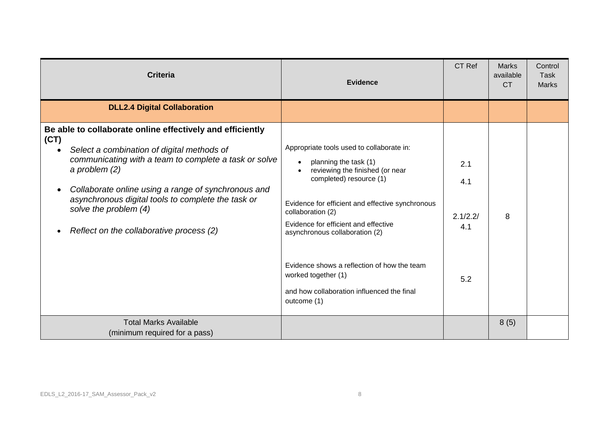| <b>Criteria</b>                                                                                                                                                                                                                                                                                                                                                                            | <b>Evidence</b>                                                                                                                                                                                                                                                                                                                                                                                                        | CT Ref                               | <b>Marks</b><br>available<br><b>CT</b> | Control<br>Task<br><b>Marks</b> |
|--------------------------------------------------------------------------------------------------------------------------------------------------------------------------------------------------------------------------------------------------------------------------------------------------------------------------------------------------------------------------------------------|------------------------------------------------------------------------------------------------------------------------------------------------------------------------------------------------------------------------------------------------------------------------------------------------------------------------------------------------------------------------------------------------------------------------|--------------------------------------|----------------------------------------|---------------------------------|
| <b>DLL2.4 Digital Collaboration</b>                                                                                                                                                                                                                                                                                                                                                        |                                                                                                                                                                                                                                                                                                                                                                                                                        |                                      |                                        |                                 |
| Be able to collaborate online effectively and efficiently<br>(CT)<br>Select a combination of digital methods of<br>communicating with a team to complete a task or solve<br>a problem $(2)$<br>Collaborate online using a range of synchronous and<br>$\bullet$<br>asynchronous digital tools to complete the task or<br>solve the problem (4)<br>Reflect on the collaborative process (2) | Appropriate tools used to collaborate in:<br>planning the task (1)<br>reviewing the finished (or near<br>completed) resource (1)<br>Evidence for efficient and effective synchronous<br>collaboration (2)<br>Evidence for efficient and effective<br>asynchronous collaboration (2)<br>Evidence shows a reflection of how the team<br>worked together (1)<br>and how collaboration influenced the final<br>outcome (1) | 2.1<br>4.1<br>2.1/2.2/<br>4.1<br>5.2 | 8                                      |                                 |
| <b>Total Marks Available</b><br>(minimum required for a pass)                                                                                                                                                                                                                                                                                                                              |                                                                                                                                                                                                                                                                                                                                                                                                                        |                                      | 8(5)                                   |                                 |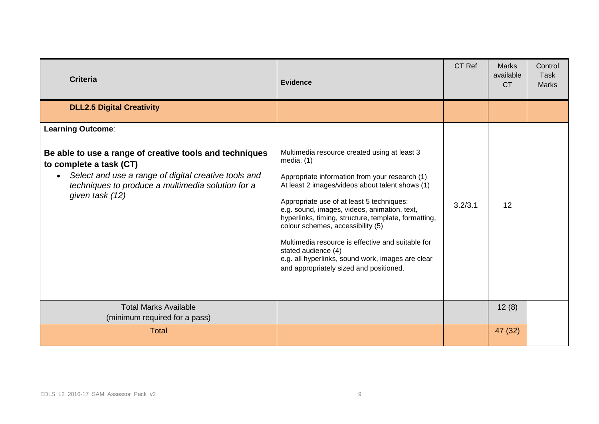| <b>Criteria</b>                                                                                                                                                                                                                                             | <b>Evidence</b>                                                                                                                                                                                                                                                                                                                                                                                                                                                                                                                         | CT Ref  | <b>Marks</b><br>available<br><b>CT</b> | Control<br>Task<br><b>Marks</b> |
|-------------------------------------------------------------------------------------------------------------------------------------------------------------------------------------------------------------------------------------------------------------|-----------------------------------------------------------------------------------------------------------------------------------------------------------------------------------------------------------------------------------------------------------------------------------------------------------------------------------------------------------------------------------------------------------------------------------------------------------------------------------------------------------------------------------------|---------|----------------------------------------|---------------------------------|
| <b>DLL2.5 Digital Creativity</b>                                                                                                                                                                                                                            |                                                                                                                                                                                                                                                                                                                                                                                                                                                                                                                                         |         |                                        |                                 |
| <b>Learning Outcome:</b><br>Be able to use a range of creative tools and techniques<br>to complete a task (CT)<br>Select and use a range of digital creative tools and<br>$\bullet$<br>techniques to produce a multimedia solution for a<br>given task (12) | Multimedia resource created using at least 3<br>media. $(1)$<br>Appropriate information from your research (1)<br>At least 2 images/videos about talent shows (1)<br>Appropriate use of at least 5 techniques:<br>e.g. sound, images, videos, animation, text,<br>hyperlinks, timing, structure, template, formatting,<br>colour schemes, accessibility (5)<br>Multimedia resource is effective and suitable for<br>stated audience (4)<br>e.g. all hyperlinks, sound work, images are clear<br>and appropriately sized and positioned. | 3.2/3.1 | 12                                     |                                 |
| <b>Total Marks Available</b><br>(minimum required for a pass)                                                                                                                                                                                               |                                                                                                                                                                                                                                                                                                                                                                                                                                                                                                                                         |         | 12(8)                                  |                                 |
| <b>Total</b>                                                                                                                                                                                                                                                |                                                                                                                                                                                                                                                                                                                                                                                                                                                                                                                                         |         | 47 (32)                                |                                 |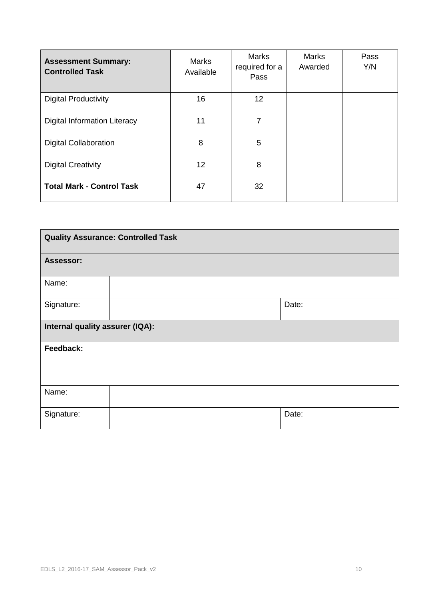| <b>Assessment Summary:</b><br><b>Controlled Task</b> | <b>Marks</b><br>Available | <b>Marks</b><br>required for a<br>Pass | Marks<br>Awarded | Pass<br>Y/N |
|------------------------------------------------------|---------------------------|----------------------------------------|------------------|-------------|
| <b>Digital Productivity</b>                          | 16                        | 12                                     |                  |             |
| <b>Digital Information Literacy</b>                  | 11                        | 7                                      |                  |             |
| <b>Digital Collaboration</b>                         | 8                         | 5                                      |                  |             |
| <b>Digital Creativity</b>                            | 12                        | 8                                      |                  |             |
| <b>Total Mark - Control Task</b>                     | 47                        | 32                                     |                  |             |

| <b>Quality Assurance: Controlled Task</b> |  |       |  |  |
|-------------------------------------------|--|-------|--|--|
| Assessor:                                 |  |       |  |  |
| Name:                                     |  |       |  |  |
| Signature:                                |  | Date: |  |  |
| Internal quality assurer (IQA):           |  |       |  |  |
| Feedback:                                 |  |       |  |  |
|                                           |  |       |  |  |
| Name:                                     |  |       |  |  |
| Signature:                                |  | Date: |  |  |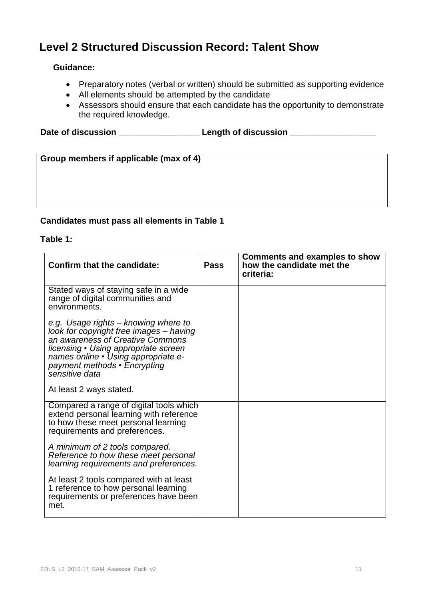### **Level 2 Structured Discussion Record: Talent Show**

#### **Guidance:**

- Preparatory notes (verbal or written) should be submitted as supporting evidence
- All elements should be attempted by the candidate
- Assessors should ensure that each candidate has the opportunity to demonstrate the required knowledge.

Date of discussion **Date of discussion** 

**Group members if applicable (max of 4)**

#### **Candidates must pass all elements in Table 1**

#### **Table 1:**

| <b>Confirm that the candidate:</b>                                                                                                                                                                                                                   | <b>Pass</b> | <b>Comments and examples to show</b><br>how the candidate met the<br>criteria: |
|------------------------------------------------------------------------------------------------------------------------------------------------------------------------------------------------------------------------------------------------------|-------------|--------------------------------------------------------------------------------|
| Stated ways of staying safe in a wide<br>range of digital communities and<br>environments.                                                                                                                                                           |             |                                                                                |
| e.g. Usage rights - knowing where to<br>look for copyright free images - having<br>an awareness of Creative Commons<br>licensing • Using appropriate screen<br>names online · Using appropriate e-<br>payment methods • Encrypting<br>sensitive data |             |                                                                                |
| At least 2 ways stated.                                                                                                                                                                                                                              |             |                                                                                |
| Compared a range of digital tools which<br>extend personal learning with reference<br>to how these meet personal learning<br>requirements and preferences.                                                                                           |             |                                                                                |
| A minimum of 2 tools compared.<br>Reference to how these meet personal<br>learning requirements and preferences.                                                                                                                                     |             |                                                                                |
| At least 2 tools compared with at least<br>1 reference to how personal learning<br>requirements or preferences have been<br>met.                                                                                                                     |             |                                                                                |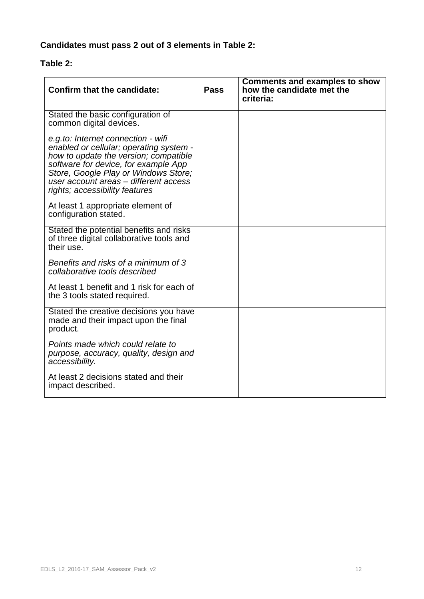### **Candidates must pass 2 out of 3 elements in Table 2:**

#### **Table 2:**

| <b>Confirm that the candidate:</b>                                                                                                                                                                                                                                                | <b>Pass</b> | <b>Comments and examples to show</b><br>how the candidate met the<br>criteria: |
|-----------------------------------------------------------------------------------------------------------------------------------------------------------------------------------------------------------------------------------------------------------------------------------|-------------|--------------------------------------------------------------------------------|
| Stated the basic configuration of<br>common digital devices.                                                                                                                                                                                                                      |             |                                                                                |
| e.g.to: Internet connection - wifi<br>enabled or cellular; operating system -<br>how to update the version; compatible<br>software for device, for example App<br>Store, Google Play or Windows Store;<br>user account areas - different access<br>rights; accessibility features |             |                                                                                |
| At least 1 appropriate element of<br>configuration stated.                                                                                                                                                                                                                        |             |                                                                                |
| Stated the potential benefits and risks<br>of three digital collaborative tools and<br>their use.                                                                                                                                                                                 |             |                                                                                |
| Benefits and risks of a minimum of 3<br>collaborative tools described                                                                                                                                                                                                             |             |                                                                                |
| At least 1 benefit and 1 risk for each of<br>the 3 tools stated required.                                                                                                                                                                                                         |             |                                                                                |
| Stated the creative decisions you have<br>made and their impact upon the final<br>product.                                                                                                                                                                                        |             |                                                                                |
| Points made which could relate to<br>purpose, accuracy, quality, design and<br>accessibility.                                                                                                                                                                                     |             |                                                                                |
| At least 2 decisions stated and their<br>impact described.                                                                                                                                                                                                                        |             |                                                                                |